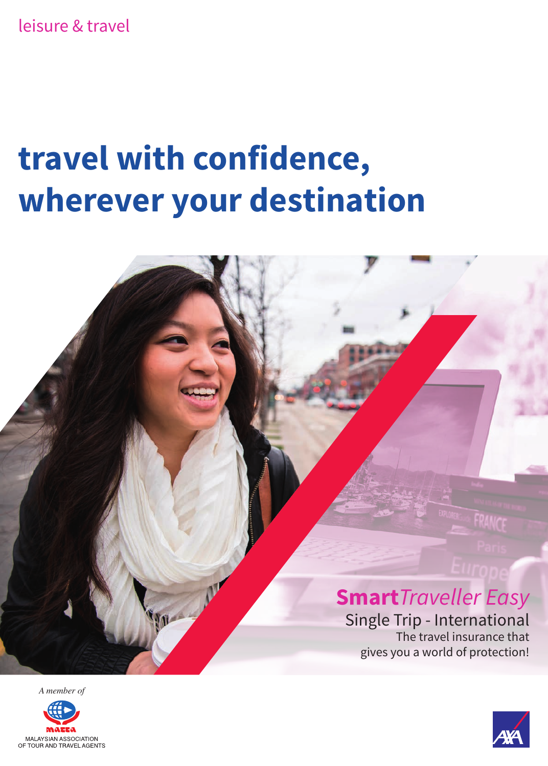leisure & travel

# **travel with confidence, wherever your destination**



*A member of*



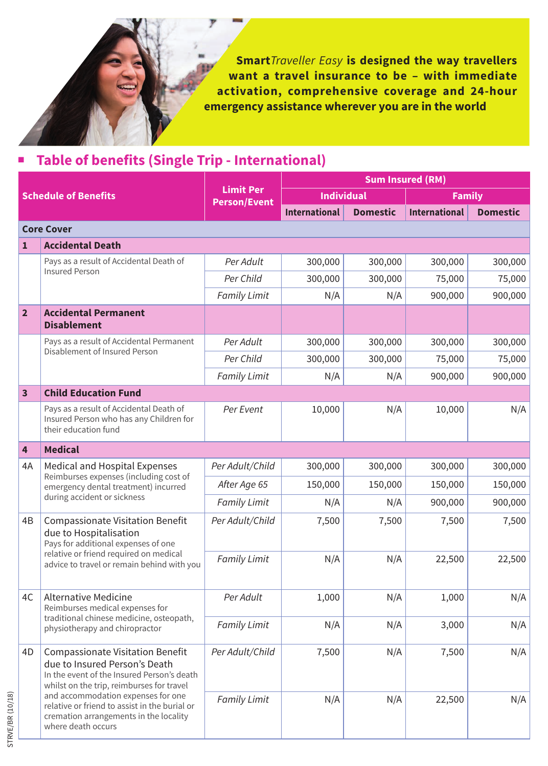**Smart***Traveller Easy* **is designed the way travellers want a travel insurance to be – with immediate activation, comprehensive coverage and 24-hour emergency assistance wherever you are in the world**

| <b>Sum Insured (RM)</b>     |                                                                                                                                                                                                                                                                                                                            |                                         |                      |                 |                      |                 |
|-----------------------------|----------------------------------------------------------------------------------------------------------------------------------------------------------------------------------------------------------------------------------------------------------------------------------------------------------------------------|-----------------------------------------|----------------------|-----------------|----------------------|-----------------|
| <b>Schedule of Benefits</b> |                                                                                                                                                                                                                                                                                                                            | <b>Limit Per</b><br><b>Person/Event</b> | <b>Individual</b>    |                 | <b>Family</b>        |                 |
|                             |                                                                                                                                                                                                                                                                                                                            |                                         | <b>International</b> | <b>Domestic</b> | <b>International</b> | <b>Domestic</b> |
|                             | <b>Core Cover</b>                                                                                                                                                                                                                                                                                                          |                                         |                      |                 |                      |                 |
| $\mathbf{1}$                | <b>Accidental Death</b>                                                                                                                                                                                                                                                                                                    |                                         |                      |                 |                      |                 |
|                             | Pays as a result of Accidental Death of                                                                                                                                                                                                                                                                                    | Per Adult                               | 300,000              | 300,000         | 300,000              | 300,000         |
| <b>Insured Person</b>       | Per Child                                                                                                                                                                                                                                                                                                                  | 300,000                                 | 300,000              | 75,000          | 75,000               |                 |
|                             |                                                                                                                                                                                                                                                                                                                            | <b>Family Limit</b>                     | N/A                  | N/A             | 900,000              | 900,000         |
| $\overline{2}$              | <b>Accidental Permanent</b><br><b>Disablement</b>                                                                                                                                                                                                                                                                          |                                         |                      |                 |                      |                 |
|                             | Pays as a result of Accidental Permanent                                                                                                                                                                                                                                                                                   | Per Adult                               | 300,000              | 300,000         | 300,000              | 300,000         |
|                             | Disablement of Insured Person                                                                                                                                                                                                                                                                                              | Per Child                               | 300,000              | 300,000         | 75,000               | 75,000          |
|                             |                                                                                                                                                                                                                                                                                                                            | Family Limit                            | N/A                  | N/A             | 900,000              | 900,000         |
| 3                           | <b>Child Education Fund</b>                                                                                                                                                                                                                                                                                                |                                         |                      |                 |                      |                 |
|                             | Pays as a result of Accidental Death of<br>Insured Person who has any Children for<br>their education fund                                                                                                                                                                                                                 | Per Event                               | 10,000               | N/A             | 10,000               |                 |
| 4                           | <b>Medical</b>                                                                                                                                                                                                                                                                                                             |                                         |                      |                 |                      |                 |
| 4A                          | Medical and Hospital Expenses<br>Reimburses expenses (including cost of<br>emergency dental treatment) incurred<br>during accident or sickness                                                                                                                                                                             | Per Adult/Child                         | 300,000              | 300,000         | 300,000              | 300,000         |
|                             |                                                                                                                                                                                                                                                                                                                            | After Age 65                            | 150,000              | 150,000         | 150,000              | 150,000         |
|                             |                                                                                                                                                                                                                                                                                                                            | <b>Family Limit</b>                     | N/A                  | N/A             | 900,000              | 900,000         |
| 4B                          | <b>Compassionate Visitation Benefit</b><br>due to Hospitalisation<br>Pays for additional expenses of one<br>relative or friend required on medical<br>advice to travel or remain behind with you                                                                                                                           | Per Adult/Child                         | 7,500                | 7,500           | 7,500                | 7,500           |
|                             |                                                                                                                                                                                                                                                                                                                            | <b>Family Limit</b>                     | N/A                  | N/A             | 22,500               | 22,500          |
| 4C                          | <b>Alternative Medicine</b><br>Reimburses medical expenses for<br>traditional chinese medicine, osteopath,<br>physiotherapy and chiropractor                                                                                                                                                                               | Per Adult                               | 1,000                | N/A             | 1,000                |                 |
|                             |                                                                                                                                                                                                                                                                                                                            | Family Limit                            | N/A                  | N/A             | 3,000                |                 |
| 4D                          | <b>Compassionate Visitation Benefit</b><br>due to Insured Person's Death<br>In the event of the Insured Person's death<br>whilst on the trip, reimburses for travel<br>and accommodation expenses for one<br>relative or friend to assist in the burial or<br>cremation arrangements in the locality<br>where death occurs | Per Adult/Child                         | 7,500                | N/A             | 7,500                |                 |
|                             |                                                                                                                                                                                                                                                                                                                            | <b>Family Limit</b>                     | N/A                  | N/A             | 22,500               |                 |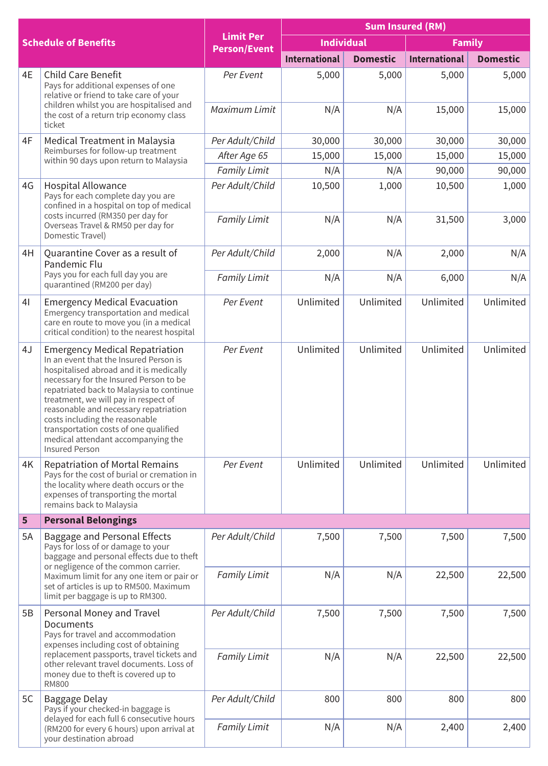| <b>Schedule of Benefits</b> |                                                                                                                                                                                                                                                                                                                                                                                                                                             | <b>Limit Per</b><br><b>Person/Event</b> | <b>Sum Insured (RM)</b> |                 |                      |                 |
|-----------------------------|---------------------------------------------------------------------------------------------------------------------------------------------------------------------------------------------------------------------------------------------------------------------------------------------------------------------------------------------------------------------------------------------------------------------------------------------|-----------------------------------------|-------------------------|-----------------|----------------------|-----------------|
|                             |                                                                                                                                                                                                                                                                                                                                                                                                                                             |                                         | <b>Individual</b>       |                 | <b>Family</b>        |                 |
|                             |                                                                                                                                                                                                                                                                                                                                                                                                                                             |                                         | <b>International</b>    | <b>Domestic</b> | <b>International</b> | <b>Domestic</b> |
| 4E                          | Child Care Benefit<br>Pays for additional expenses of one<br>relative or friend to take care of your<br>children whilst you are hospitalised and<br>the cost of a return trip economy class<br>ticket                                                                                                                                                                                                                                       | Per Event                               | 5,000                   | 5,000           | 5,000                | 5,000           |
|                             |                                                                                                                                                                                                                                                                                                                                                                                                                                             | Maximum Limit                           | N/A                     | N/A             | 15,000               | 15,000          |
| 4F                          | Medical Treatment in Malaysia<br>Reimburses for follow-up treatment<br>within 90 days upon return to Malaysia                                                                                                                                                                                                                                                                                                                               | Per Adult/Child                         | 30,000                  | 30,000          | 30,000               | 30,000          |
|                             |                                                                                                                                                                                                                                                                                                                                                                                                                                             | After Age 65                            | 15,000                  | 15,000          | 15,000               | 15,000          |
|                             |                                                                                                                                                                                                                                                                                                                                                                                                                                             | Family Limit                            | N/A                     | N/A             | 90,000               | 90,000          |
| 4G                          | Hospital Allowance<br>Pays for each complete day you are<br>confined in a hospital on top of medical<br>costs incurred (RM350 per day for<br>Overseas Travel & RM50 per day for<br>Domestic Travel)                                                                                                                                                                                                                                         | Per Adult/Child                         | 10,500                  | 1,000           | 10,500               | 1,000           |
|                             |                                                                                                                                                                                                                                                                                                                                                                                                                                             | <b>Family Limit</b>                     | N/A                     | N/A             | 31,500               | 3,000           |
| 4H                          | Quarantine Cover as a result of<br>Pandemic Flu<br>Pays you for each full day you are<br>quarantined (RM200 per day)                                                                                                                                                                                                                                                                                                                        | Per Adult/Child                         | 2,000                   | N/A             | 2,000                | N/A             |
|                             |                                                                                                                                                                                                                                                                                                                                                                                                                                             | <b>Family Limit</b>                     | N/A                     | N/A             | 6,000                | N/A             |
| 4 <sup>1</sup>              | <b>Emergency Medical Evacuation</b><br>Emergency transportation and medical<br>care en route to move you (in a medical<br>critical condition) to the nearest hospital                                                                                                                                                                                                                                                                       | Per Event                               | Unlimited               | Unlimited       | Unlimited            | Unlimited       |
| 4J                          | <b>Emergency Medical Repatriation</b><br>In an event that the Insured Person is<br>hospitalised abroad and it is medically<br>necessary for the Insured Person to be<br>repatriated back to Malaysia to continue<br>treatment, we will pay in respect of<br>reasonable and necessary repatriation<br>costs including the reasonable<br>transportation costs of one qualified<br>medical attendant accompanying the<br><b>Insured Person</b> | Per Event                               | Unlimited               | Unlimited       | Unlimited            | Unlimited       |
| 4K                          | Repatriation of Mortal Remains<br>Pays for the cost of burial or cremation in<br>the locality where death occurs or the<br>expenses of transporting the mortal<br>remains back to Malaysia                                                                                                                                                                                                                                                  | Per Event                               | Unlimited               | Unlimited       | Unlimited            | Unlimited       |
| 5                           | <b>Personal Belongings</b>                                                                                                                                                                                                                                                                                                                                                                                                                  |                                         |                         |                 |                      |                 |
| 5A                          | Baggage and Personal Effects<br>Pays for loss of or damage to your<br>baggage and personal effects due to theft<br>or negligence of the common carrier.<br>Maximum limit for any one item or pair or<br>set of articles is up to RM500. Maximum<br>limit per baggage is up to RM300.                                                                                                                                                        | Per Adult/Child                         | 7,500                   | 7,500           | 7,500                | 7,500           |
|                             |                                                                                                                                                                                                                                                                                                                                                                                                                                             | <b>Family Limit</b>                     | N/A                     | N/A             | 22,500               | 22,500          |
| 5Β                          | Personal Money and Travel<br>Documents<br>Pays for travel and accommodation<br>expenses including cost of obtaining                                                                                                                                                                                                                                                                                                                         | Per Adult/Child                         | 7,500                   | 7,500           | 7,500                | 7,500           |
|                             | replacement passports, travel tickets and<br>other relevant travel documents. Loss of<br>money due to theft is covered up to<br><b>RM800</b>                                                                                                                                                                                                                                                                                                | <b>Family Limit</b>                     | N/A                     | N/A             | 22,500               | 22,500          |
| 5C                          | Baggage Delay<br>Pays if your checked-in baggage is<br>delayed for each full 6 consecutive hours<br>(RM200 for every 6 hours) upon arrival at<br>your destination abroad                                                                                                                                                                                                                                                                    | Per Adult/Child                         | 800                     | 800             | 800                  | 800             |
|                             |                                                                                                                                                                                                                                                                                                                                                                                                                                             | <b>Family Limit</b>                     | N/A                     | N/A             | 2,400                | 2,400           |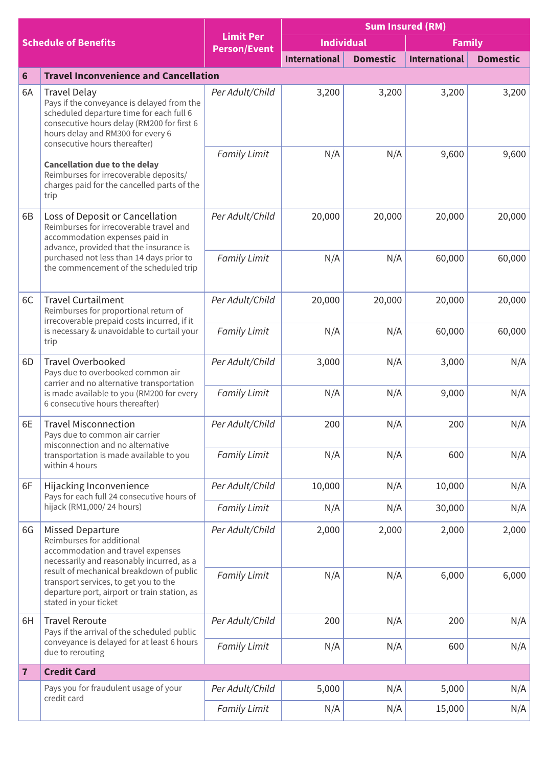| <b>Schedule of Benefits</b> |                                                                                                                                                                                                                                                                                                                                                             | <b>Limit Per</b><br><b>Person/Event</b> | <b>Sum Insured (RM)</b> |                 |                      |                 |
|-----------------------------|-------------------------------------------------------------------------------------------------------------------------------------------------------------------------------------------------------------------------------------------------------------------------------------------------------------------------------------------------------------|-----------------------------------------|-------------------------|-----------------|----------------------|-----------------|
|                             |                                                                                                                                                                                                                                                                                                                                                             |                                         | <b>Individual</b>       |                 | <b>Family</b>        |                 |
|                             |                                                                                                                                                                                                                                                                                                                                                             |                                         | <b>International</b>    | <b>Domestic</b> | <b>International</b> | <b>Domestic</b> |
| 6                           | <b>Travel Inconvenience and Cancellation</b>                                                                                                                                                                                                                                                                                                                |                                         |                         |                 |                      |                 |
| 6A<br>trip                  | Travel Delay<br>Pays if the conveyance is delayed from the<br>scheduled departure time for each full 6<br>consecutive hours delay (RM200 for first 6<br>hours delay and RM300 for every 6<br>consecutive hours thereafter)<br><b>Cancellation due to the delay</b><br>Reimburses for irrecoverable deposits/<br>charges paid for the cancelled parts of the | Per Adult/Child                         | 3,200                   | 3,200           | 3,200                | 3,200           |
|                             |                                                                                                                                                                                                                                                                                                                                                             | <b>Family Limit</b>                     | N/A                     | N/A             | 9,600                | 9,600           |
| 6B                          | Loss of Deposit or Cancellation<br>Reimburses for irrecoverable travel and<br>accommodation expenses paid in<br>advance, provided that the insurance is<br>purchased not less than 14 days prior to<br>the commencement of the scheduled trip                                                                                                               | Per Adult/Child                         | 20,000                  | 20,000          | 20,000               | 20,000          |
|                             |                                                                                                                                                                                                                                                                                                                                                             | <b>Family Limit</b>                     | N/A                     | N/A             | 60,000               | 60,000          |
| 6C                          | <b>Travel Curtailment</b><br>Reimburses for proportional return of<br>irrecoverable prepaid costs incurred, if it<br>is necessary & unavoidable to curtail your<br>trip                                                                                                                                                                                     | Per Adult/Child                         | 20,000                  | 20,000          | 20,000               | 20,000          |
|                             |                                                                                                                                                                                                                                                                                                                                                             | <b>Family Limit</b>                     | N/A                     | N/A             | 60,000               | 60,000          |
| 6D                          | Travel Overbooked<br>Pays due to overbooked common air<br>carrier and no alternative transportation                                                                                                                                                                                                                                                         | Per Adult/Child                         | 3,000                   | N/A             | 3,000                | N/A             |
|                             | is made available to you (RM200 for every<br>6 consecutive hours thereafter)                                                                                                                                                                                                                                                                                | <b>Family Limit</b>                     | N/A                     | N/A             | 9,000                | N/A             |
| 6E                          | <b>Travel Misconnection</b><br>Pays due to common air carrier<br>misconnection and no alternative                                                                                                                                                                                                                                                           | Per Adult/Child                         | 200                     | N/A             | 200                  | N/A             |
|                             | transportation is made available to you<br>within 4 hours                                                                                                                                                                                                                                                                                                   | <b>Family Limit</b>                     | N/A                     | N/A             | 600                  | N/A             |
| 6F                          | Hijacking Inconvenience<br>Pays for each full 24 consecutive hours of<br>hijack (RM1,000/24 hours)                                                                                                                                                                                                                                                          | Per Adult/Child                         | 10,000                  | N/A             | 10,000               | N/A             |
|                             |                                                                                                                                                                                                                                                                                                                                                             | <b>Family Limit</b>                     | N/A                     | N/A             | 30,000               | N/A             |
| 6G                          | Missed Departure<br>Reimburses for additional<br>accommodation and travel expenses<br>necessarily and reasonably incurred, as a<br>result of mechanical breakdown of public<br>transport services, to get you to the<br>departure port, airport or train station, as<br>stated in your ticket                                                               | Per Adult/Child                         | 2,000                   | 2,000           | 2,000                | 2,000           |
|                             |                                                                                                                                                                                                                                                                                                                                                             | <b>Family Limit</b>                     | N/A                     | N/A             | 6,000                | 6,000           |
| 6H                          | <b>Travel Reroute</b><br>Pays if the arrival of the scheduled public<br>conveyance is delayed for at least 6 hours<br>due to rerouting                                                                                                                                                                                                                      | Per Adult/Child                         | 200                     | N/A             | 200                  | N/A             |
|                             |                                                                                                                                                                                                                                                                                                                                                             | <b>Family Limit</b>                     | N/A                     | N/A             | 600                  | N/A             |
| $\overline{7}$              | <b>Credit Card</b>                                                                                                                                                                                                                                                                                                                                          |                                         |                         |                 |                      |                 |
|                             | Pays you for fraudulent usage of your<br>credit card                                                                                                                                                                                                                                                                                                        | Per Adult/Child                         | 5,000                   | N/A             | 5,000                | N/A             |
|                             |                                                                                                                                                                                                                                                                                                                                                             | <b>Family Limit</b>                     | N/A                     | N/A             | 15,000               | N/A             |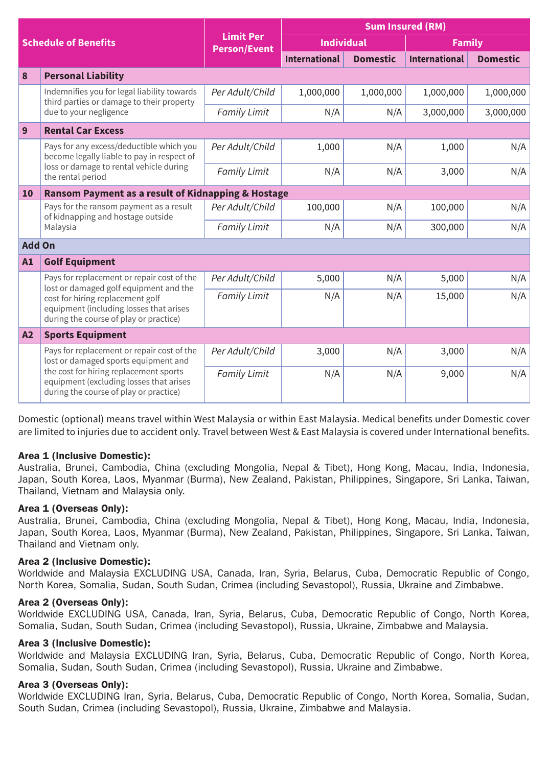| <b>Schedule of Benefits</b> |                                                                                                                                                                                                                   | <b>Limit Per</b><br><b>Person/Event</b> | <b>Sum Insured (RM)</b> |                 |                      |                 |  |
|-----------------------------|-------------------------------------------------------------------------------------------------------------------------------------------------------------------------------------------------------------------|-----------------------------------------|-------------------------|-----------------|----------------------|-----------------|--|
|                             |                                                                                                                                                                                                                   |                                         | <b>Individual</b>       |                 | <b>Family</b>        |                 |  |
|                             |                                                                                                                                                                                                                   |                                         | <b>International</b>    | <b>Domestic</b> | <b>International</b> | <b>Domestic</b> |  |
| 8                           | <b>Personal Liability</b>                                                                                                                                                                                         |                                         |                         |                 |                      |                 |  |
|                             | Indemnifies you for legal liability towards<br>third parties or damage to their property<br>due to your negligence                                                                                                | Per Adult/Child                         | 1,000,000               | 1,000,000       | 1,000,000            | 1,000,000       |  |
|                             |                                                                                                                                                                                                                   | <b>Family Limit</b>                     | N/A                     | N/A             | 3,000,000            | 3,000,000       |  |
| 9                           | <b>Rental Car Excess</b>                                                                                                                                                                                          |                                         |                         |                 |                      |                 |  |
|                             | Pays for any excess/deductible which you<br>become legally liable to pay in respect of<br>loss or damage to rental vehicle during<br>the rental period                                                            | Per Adult/Child                         | 1.000                   | N/A             | 1,000                | N/A             |  |
|                             |                                                                                                                                                                                                                   | <b>Family Limit</b>                     | N/A                     | N/A             | 3,000                | N/A             |  |
| 10                          | Ransom Payment as a result of Kidnapping & Hostage                                                                                                                                                                |                                         |                         |                 |                      |                 |  |
|                             | Pays for the ransom payment as a result<br>of kidnapping and hostage outside<br>Malaysia                                                                                                                          | Per Adult/Child                         | 100,000                 | N/A             | 100,000              | N/A             |  |
|                             |                                                                                                                                                                                                                   | <b>Family Limit</b>                     | N/A                     | N/A             | 300,000              | N/A             |  |
| <b>Add On</b>               |                                                                                                                                                                                                                   |                                         |                         |                 |                      |                 |  |
| A1                          | <b>Golf Equipment</b>                                                                                                                                                                                             |                                         |                         |                 |                      |                 |  |
|                             | Pays for replacement or repair cost of the<br>lost or damaged golf equipment and the<br>cost for hiring replacement golf<br>equipment (including losses that arises<br>during the course of play or practice)     | Per Adult/Child                         | 5,000                   | N/A             | 5,000                | N/A             |  |
|                             |                                                                                                                                                                                                                   | <b>Family Limit</b>                     | N/A                     | N/A             | 15,000               | N/A             |  |
|                             |                                                                                                                                                                                                                   |                                         |                         |                 |                      |                 |  |
| A2                          | <b>Sports Equipment</b>                                                                                                                                                                                           |                                         |                         |                 |                      |                 |  |
|                             | Pays for replacement or repair cost of the<br>lost or damaged sports equipment and<br>the cost for hiring replacement sports<br>equipment (excluding losses that arises<br>during the course of play or practice) | Per Adult/Child                         | 3,000                   | N/A             | 3,000                | N/A             |  |
|                             |                                                                                                                                                                                                                   | <b>Family Limit</b>                     | N/A                     | N/A             | 9,000                | N/A             |  |

Domestic (optional) means travel within West Malaysia or within East Malaysia. Medical benefits under Domestic cover are limited to injuries due to accident only. Travel between West & East Malaysia is covered under International benefits.

# Area 1 (Inclusive Domestic):

Australia, Brunei, Cambodia, China (excluding Mongolia, Nepal & Tibet), Hong Kong, Macau, India, Indonesia, Japan, South Korea, Laos, Myanmar (Burma), New Zealand, Pakistan, Philippines, Singapore, Sri Lanka, Taiwan, Thailand, Vietnam and Malaysia only.

# Area 1 (Overseas Only):

Australia, Brunei, Cambodia, China (excluding Mongolia, Nepal & Tibet), Hong Kong, Macau, India, Indonesia, Japan, South Korea, Laos, Myanmar (Burma), New Zealand, Pakistan, Philippines, Singapore, Sri Lanka, Taiwan, Thailand and Vietnam only.

### Area 2 (Inclusive Domestic):

Worldwide and Malaysia EXCLUDING USA, Canada, Iran, Syria, Belarus, Cuba, Democratic Republic of Congo, North Korea, Somalia, Sudan, South Sudan, Crimea (including Sevastopol), Russia, Ukraine and Zimbabwe.

#### Area 2 (Overseas Only):

Worldwide EXCLUDING USA, Canada, Iran, Syria, Belarus, Cuba, Democratic Republic of Congo, North Korea, Somalia, Sudan, South Sudan, Crimea (including Sevastopol), Russia, Ukraine, Zimbabwe and Malaysia.

# Area 3 (Inclusive Domestic):

Worldwide and Malaysia EXCLUDING Iran, Syria, Belarus, Cuba, Democratic Republic of Congo, North Korea, Somalia, Sudan, South Sudan, Crimea (including Sevastopol), Russia, Ukraine and Zimbabwe.

#### Area 3 (Overseas Only):

Worldwide EXCLUDING Iran, Syria, Belarus, Cuba, Democratic Republic of Congo, North Korea, Somalia, Sudan, South Sudan, Crimea (including Sevastopol), Russia, Ukraine, Zimbabwe and Malaysia.